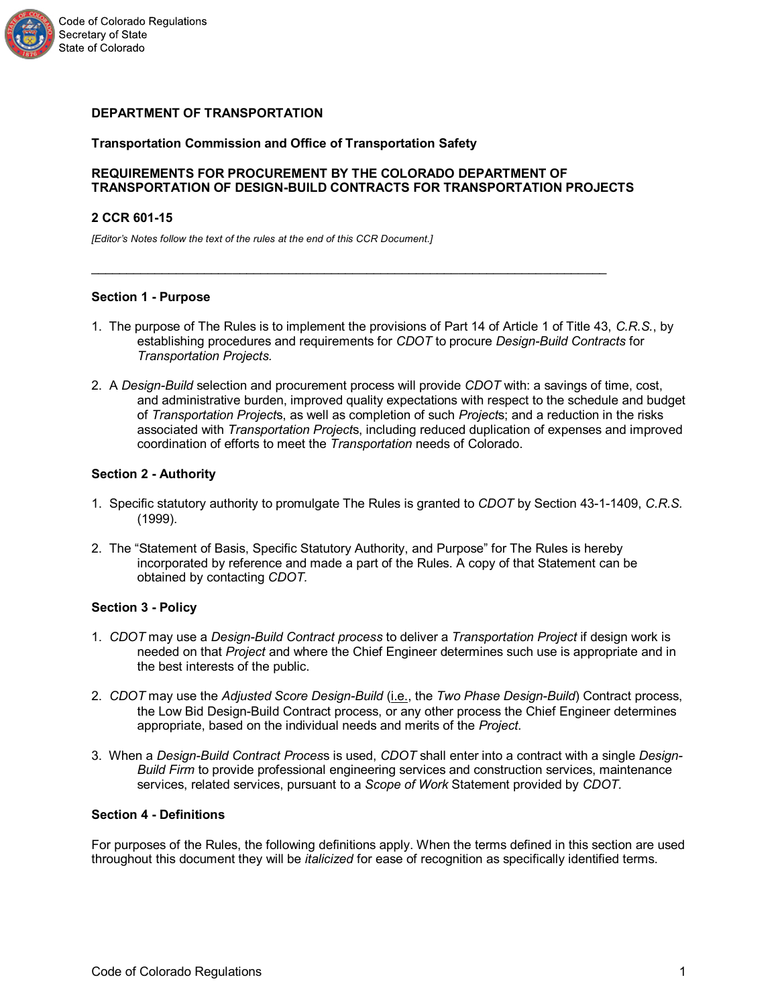

### **DEPARTMENT OF TRANSPORTATION**

#### **Transportation Commission and Office of Transportation Safety**

### **REQUIREMENTS FOR PROCUREMENT BY THE COLORADO DEPARTMENT OF TRANSPORTATION OF DESIGN-BUILD CONTRACTS FOR TRANSPORTATION PROJECTS**

 $\mathcal{L}_\text{G} = \{ \mathcal{L}_\text{G} \mid \mathcal{L}_\text{G} \mid \mathcal{L}_\text{G} \mid \mathcal{L}_\text{G} \mid \mathcal{L}_\text{G} \mid \mathcal{L}_\text{G} \mid \mathcal{L}_\text{G} \mid \mathcal{L}_\text{G} \mid \mathcal{L}_\text{G} \mid \mathcal{L}_\text{G} \mid \mathcal{L}_\text{G} \mid \mathcal{L}_\text{G} \mid \mathcal{L}_\text{G} \mid \mathcal{L}_\text{G} \mid \mathcal{L}_\text{G} \mid \mathcal{L}_\text{G}$ 

#### **2 CCR 601-15**

*[Editor's Notes follow the text of the rules at the end of this CCR Document.]*

### **Section 1 - Purpose**

- 1. The purpose of The Rules is to implement the provisions of Part 14 of Article 1 of Title 43, *C.R.S.*, by establishing procedures and requirements for *CDOT* to procure *Design-Build Contracts* for *Transportation Projects.*
- 2. A *Design-Build* selection and procurement process will provide *CDOT* with: a savings of time, cost, and administrative burden, improved quality expectations with respect to the schedule and budget of *Transportation Project*s, as well as completion of such *Project*s; and a reduction in the risks associated with *Transportation Project*s, including reduced duplication of expenses and improved coordination of efforts to meet the *Transportation* needs of Colorado.

#### **Section 2 - Authority**

- 1. Specific statutory authority to promulgate The Rules is granted to *CDOT* by Section 43-1-1409, *C.R.S.* (1999).
- 2. The "Statement of Basis, Specific Statutory Authority, and Purpose" for The Rules is hereby incorporated by reference and made a part of the Rules. A copy of that Statement can be obtained by contacting *CDOT.*

### **Section 3 - Policy**

- 1. *CDOT* may use a *Design-Build Contract process* to deliver a *Transportation Project* if design work is needed on that *Project* and where the Chief Engineer determines such use is appropriate and in the best interests of the public.
- 2. *CDOT* may use the *Adjusted Score Design-Build* (i.e., the *Two Phase Design-Build*) Contract process, the Low Bid Design-Build Contract process, or any other process the Chief Engineer determines appropriate, based on the individual needs and merits of the *Project.*
- 3. When a *Design-Build Contract Proces*s is used, *CDOT* shall enter into a contract with a single *Design-Build Firm* to provide professional engineering services and construction services, maintenance services, related services, pursuant to a *Scope of Work* Statement provided by *CDOT.*

### **Section 4 - Definitions**

For purposes of the Rules, the following definitions apply. When the terms defined in this section are used throughout this document they will be *italicized* for ease of recognition as specifically identified terms.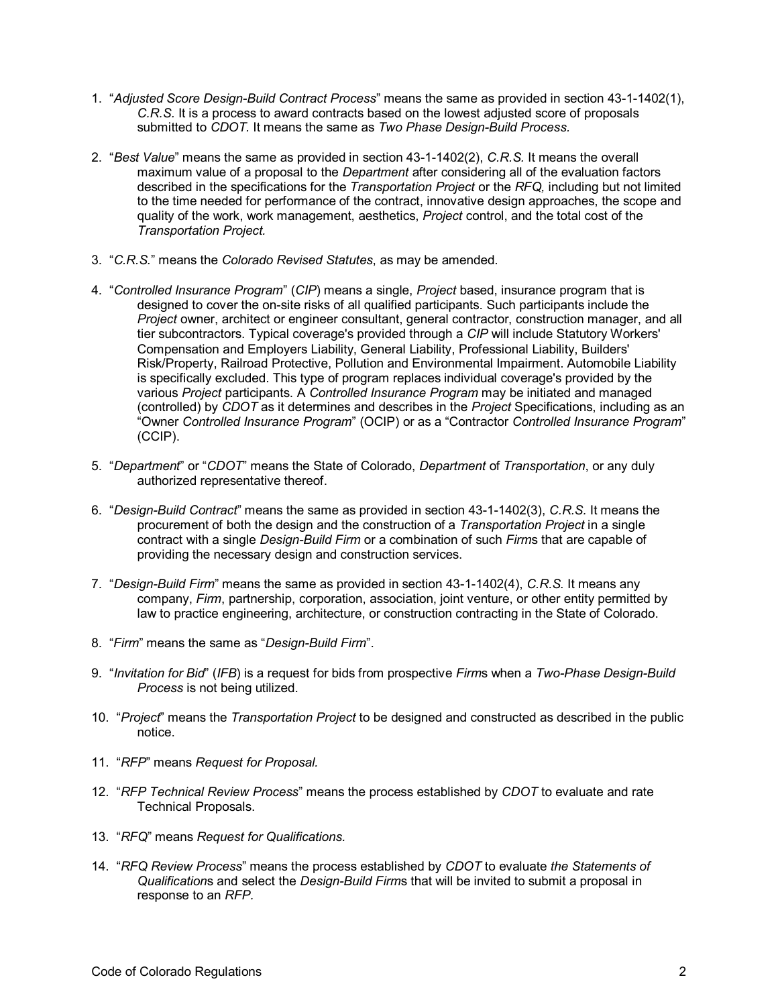- 1. "*Adjusted Score Design-Build Contract Process*" means the same as provided in section 43-1-1402(1), *C.R.S.* It is a process to award contracts based on the lowest adjusted score of proposals submitted to *CDOT.* It means the same as *Two Phase Design-Build Process.*
- 2. "*Best Value*" means the same as provided in section 43-1-1402(2), *C.R.S.* It means the overall maximum value of a proposal to the *Department* after considering all of the evaluation factors described in the specifications for the *Transportation Project* or the *RFQ,* including but not limited to the time needed for performance of the contract, innovative design approaches, the scope and quality of the work, work management, aesthetics, *Project* control, and the total cost of the *Transportation Project.*
- 3. "*C.R.S.*" means the *Colorado Revised Statutes*, as may be amended.
- 4. "*Controlled Insurance Program*" (*CIP*) means a single, *Project* based, insurance program that is designed to cover the on-site risks of all qualified participants. Such participants include the *Project* owner, architect or engineer consultant, general contractor, construction manager, and all tier subcontractors. Typical coverage's provided through a *CIP* will include Statutory Workers' Compensation and Employers Liability, General Liability, Professional Liability, Builders' Risk/Property, Railroad Protective, Pollution and Environmental Impairment. Automobile Liability is specifically excluded. This type of program replaces individual coverage's provided by the various *Project* participants. A *Controlled Insurance Program* may be initiated and managed (controlled) by *CDOT* as it determines and describes in the *Project* Specifications, including as an "Owner *Controlled Insurance Program*" (OCIP) or as a "Contractor *Controlled Insurance Program*" (CCIP).
- 5. "*Department*" or "*CDOT*" means the State of Colorado, *Department* of *Transportation*, or any duly authorized representative thereof.
- 6. "*Design-Build Contract*" means the same as provided in section 43-1-1402(3), *C.R.S.* It means the procurement of both the design and the construction of a *Transportation Project* in a single contract with a single *Design-Build Firm* or a combination of such *Firm*s that are capable of providing the necessary design and construction services.
- 7. "*Design-Build Firm*" means the same as provided in section 43-1-1402(4), *C.R.S.* It means any company, *Firm*, partnership, corporation, association, joint venture, or other entity permitted by law to practice engineering, architecture, or construction contracting in the State of Colorado.
- 8. "*Firm*" means the same as "*Design-Build Firm*".
- 9. "*Invitation for Bid*" (*IFB*) is a request for bids from prospective *Firm*s when a *Two-Phase Design-Build Process* is not being utilized.
- 10. "*Project*" means the *Transportation Project* to be designed and constructed as described in the public notice.
- 11. "*RFP*" means *Request for Proposal.*
- 12. "*RFP Technical Review Process*" means the process established by *CDOT* to evaluate and rate Technical Proposals.
- 13. "*RFQ*" means *Request for Qualifications.*
- 14. "*RFQ Review Process*" means the process established by *CDOT* to evaluate *the Statements of Qualification*s and select the *Design-Build Firm*s that will be invited to submit a proposal in response to an *RFP.*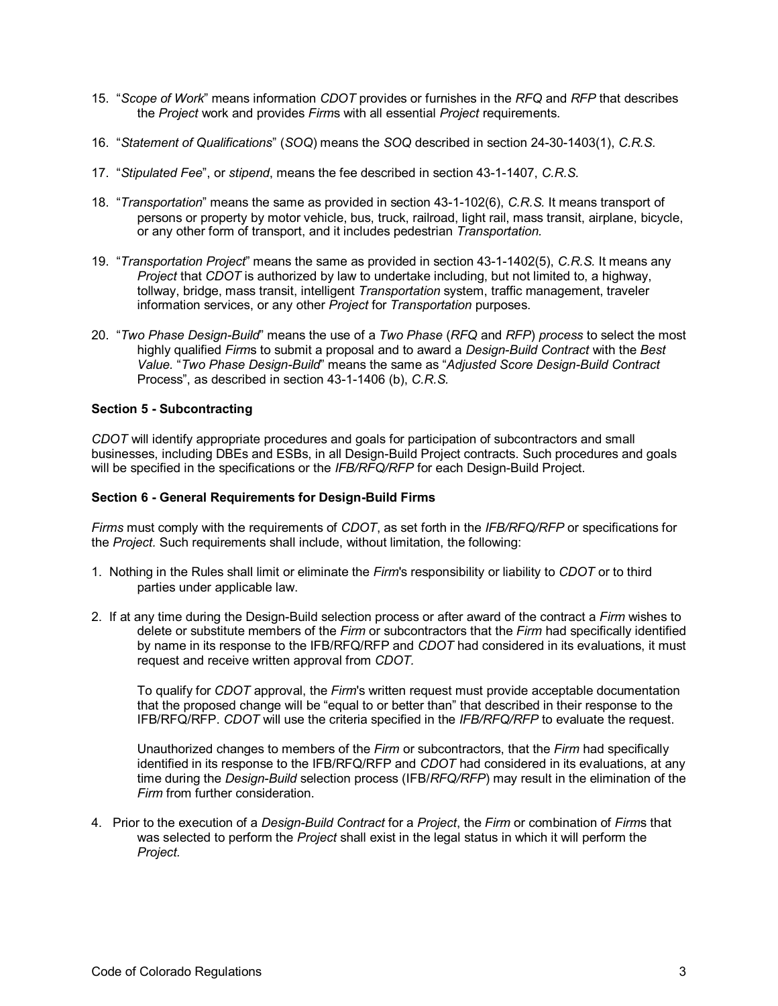- 15. "*Scope of Work*" means information *CDOT* provides or furnishes in the *RFQ* and *RFP* that describes the *Project* work and provides *Firm*s with all essential *Project* requirements.
- 16. "*Statement of Qualifications*" (*SOQ*) means the *SOQ* described in section 24-30-1403(1), *C.R.S.*
- 17. "*Stipulated Fee*", or *stipend*, means the fee described in section 43-1-1407, *C.R.S.*
- 18. "*Transportation*" means the same as provided in section 43-1-102(6), *C.R.S.* It means transport of persons or property by motor vehicle, bus, truck, railroad, light rail, mass transit, airplane, bicycle, or any other form of transport, and it includes pedestrian *Transportation.*
- 19. "*Transportation Project*" means the same as provided in section 43-1-1402(5), *C.R.S.* It means any *Project* that *CDOT* is authorized by law to undertake including, but not limited to, a highway, tollway, bridge, mass transit, intelligent *Transportation* system, traffic management, traveler information services, or any other *Project* for *Transportation* purposes.
- 20. "*Two Phase Design-Build*" means the use of a *Two Phase* (*RFQ* and *RFP*) *process* to select the most highly qualified *Firm*s to submit a proposal and to award a *Design-Build Contract* with the *Best Value.* "*Two Phase Design-Build*" means the same as "*Adjusted Score Design-Build Contract* Process", as described in section 43-1-1406 (b), *C.R.S.*

## **Section 5 - Subcontracting**

*CDOT* will identify appropriate procedures and goals for participation of subcontractors and small businesses, including DBEs and ESBs, in all Design-Build Project contracts. Such procedures and goals will be specified in the specifications or the *IFB/RFQ/RFP* for each Design-Build Project.

### **Section 6 - General Requirements for Design-Build Firms**

*Firms* must comply with the requirements of *CDOT*, as set forth in the *IFB/RFQ/RFP* or specifications for the *Project.* Such requirements shall include, without limitation, the following:

- 1. Nothing in the Rules shall limit or eliminate the *Firm*'s responsibility or liability to *CDOT* or to third parties under applicable law.
- 2. If at any time during the Design-Build selection process or after award of the contract a *Firm* wishes to delete or substitute members of the *Firm* or subcontractors that the *Firm* had specifically identified by name in its response to the IFB/RFQ/RFP and *CDOT* had considered in its evaluations, it must request and receive written approval from *CDOT.*

To qualify for *CDOT* approval, the *Firm*'s written request must provide acceptable documentation that the proposed change will be "equal to or better than" that described in their response to the IFB/RFQ/RFP. *CDOT* will use the criteria specified in the *IFB/RFQ/RFP* to evaluate the request.

Unauthorized changes to members of the *Firm* or subcontractors, that the *Firm* had specifically identified in its response to the IFB/RFQ/RFP and *CDOT* had considered in its evaluations, at any time during the *Design-Build* selection process (IFB/*RFQ/RFP*) may result in the elimination of the *Firm* from further consideration.

4. Prior to the execution of a *Design-Build Contract* for a *Project*, the *Firm* or combination of *Firm*s that was selected to perform the *Project* shall exist in the legal status in which it will perform the *Project.*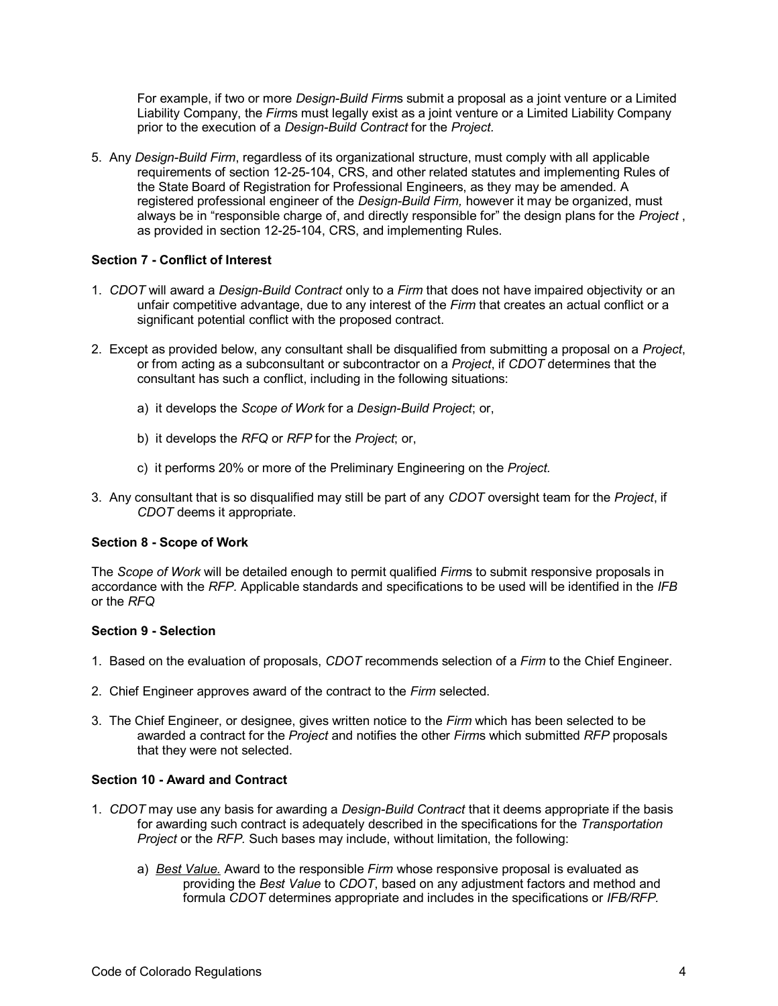For example, if two or more *Design-Build Firm*s submit a proposal as a joint venture or a Limited Liability Company, the *Firm*s must legally exist as a joint venture or a Limited Liability Company prior to the execution of a *Design-Build Contract* for the *Project.*

5. Any *Design-Build Firm*, regardless of its organizational structure, must comply with all applicable requirements of section 12-25-104, CRS, and other related statutes and implementing Rules of the State Board of Registration for Professional Engineers, as they may be amended. A registered professional engineer of the *Design-Build Firm,* however it may be organized, must always be in "responsible charge of, and directly responsible for" the design plans for the *Project* , as provided in section 12-25-104, CRS, and implementing Rules.

# **Section 7 - Conflict of Interest**

- 1. *CDOT* will award a *Design-Build Contract* only to a *Firm* that does not have impaired objectivity or an unfair competitive advantage, due to any interest of the *Firm* that creates an actual conflict or a significant potential conflict with the proposed contract.
- 2. Except as provided below, any consultant shall be disqualified from submitting a proposal on a *Project*, or from acting as a subconsultant or subcontractor on a *Project*, if *CDOT* determines that the consultant has such a conflict, including in the following situations:
	- a) it develops the *Scope of Work* for a *Design-Build Project*; or,
	- b) it develops the *RFQ* or *RFP* for the *Project*; or,
	- c) it performs 20% or more of the Preliminary Engineering on the *Project.*
- 3. Any consultant that is so disqualified may still be part of any *CDOT* oversight team for the *Project*, if *CDOT* deems it appropriate.

### **Section 8 - Scope of Work**

The *Scope of Work* will be detailed enough to permit qualified *Firm*s to submit responsive proposals in accordance with the *RFP.* Applicable standards and specifications to be used will be identified in the *IFB* or the *RFQ*

### **Section 9 - Selection**

- 1. Based on the evaluation of proposals, *CDOT* recommends selection of a *Firm* to the Chief Engineer.
- 2. Chief Engineer approves award of the contract to the *Firm* selected.
- 3. The Chief Engineer, or designee, gives written notice to the *Firm* which has been selected to be awarded a contract for the *Project* and notifies the other *Firm*s which submitted *RFP* proposals that they were not selected.

# **Section 10 - Award and Contract**

- 1. *CDOT* may use any basis for awarding a *Design-Build Contract* that it deems appropriate if the basis for awarding such contract is adequately described in the specifications for the *Transportation Project* or the *RFP.* Such bases may include, without limitation, the following:
	- a) *Best Value.* Award to the responsible *Firm* whose responsive proposal is evaluated as providing the *Best Value* to *CDOT*, based on any adjustment factors and method and formula *CDOT* determines appropriate and includes in the specifications or *IFB/RFP.*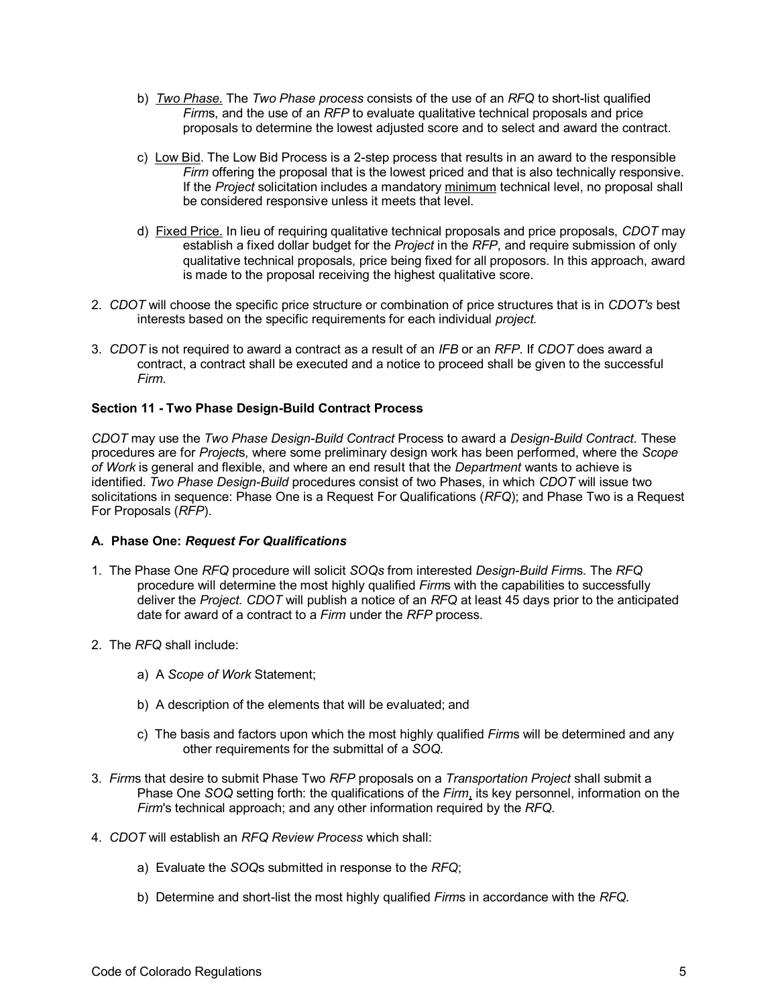- b) *Two Phase.* The *Two Phase process* consists of the use of an *RFQ* to short-list qualified *Firm*s, and the use of an *RFP* to evaluate qualitative technical proposals and price proposals to determine the lowest adjusted score and to select and award the contract.
- c) Low Bid. The Low Bid Process is a 2-step process that results in an award to the responsible *Firm* offering the proposal that is the lowest priced and that is also technically responsive. If the *Project* solicitation includes a mandatory minimum technical level, no proposal shall be considered responsive unless it meets that level.
- d) Fixed Price. In lieu of requiring qualitative technical proposals and price proposals, *CDOT* may establish a fixed dollar budget for the *Project* in the *RFP*, and require submission of only qualitative technical proposals, price being fixed for all proposors. In this approach, award is made to the proposal receiving the highest qualitative score.
- 2. *CDOT* will choose the specific price structure or combination of price structures that is in *CDOT's* best interests based on the specific requirements for each individual *project.*
- 3. *CDOT* is not required to award a contract as a result of an *IFB* or an *RFP.* If *CDOT* does award a contract, a contract shall be executed and a notice to proceed shall be given to the successful *Firm.*

## **Section 11 - Two Phase Design-Build Contract Process**

*CDOT* may use the *Two Phase Design-Build Contract* Process to award a *Design-Build Contract.* These procedures are for *Project*s, where some preliminary design work has been performed, where the *Scope of Work* is general and flexible, and where an end result that the *Department* wants to achieve is identified. *Two Phase Design-Build* procedures consist of two Phases, in which *CDOT* will issue two solicitations in sequence: Phase One is a Request For Qualifications (*RFQ*); and Phase Two is a Request For Proposals (*RFP*).

### **A. Phase One:** *Request For Qualifications*

- 1. The Phase One *RFQ* procedure will solicit *SOQs* from interested *Design-Build Firm*s. The *RFQ* procedure will determine the most highly qualified *Firm*s with the capabilities to successfully deliver the *Project. CDOT* will publish a notice of an *RFQ* at least 45 days prior to the anticipated date for award of a contract to a *Firm* under the *RFP* process.
- 2. The *RFQ* shall include:
	- a) A *Scope of Work* Statement;
	- b) A description of the elements that will be evaluated; and
	- c) The basis and factors upon which the most highly qualified *Firm*s will be determined and any other requirements for the submittal of a *SOQ.*
- 3. *Firm*s that desire to submit Phase Two *RFP* proposals on a *Transportation Project* shall submit a Phase One *SOQ* setting forth: the qualifications of the *Firm*, its key personnel, information on the *Firm*'s technical approach; and any other information required by the *RFQ.*
- 4. *CDOT* will establish an *RFQ Review Process* which shall:
	- a) Evaluate the *SOQ*s submitted in response to the *RFQ*;
	- b) Determine and short-list the most highly qualified *Firm*s in accordance with the *RFQ.*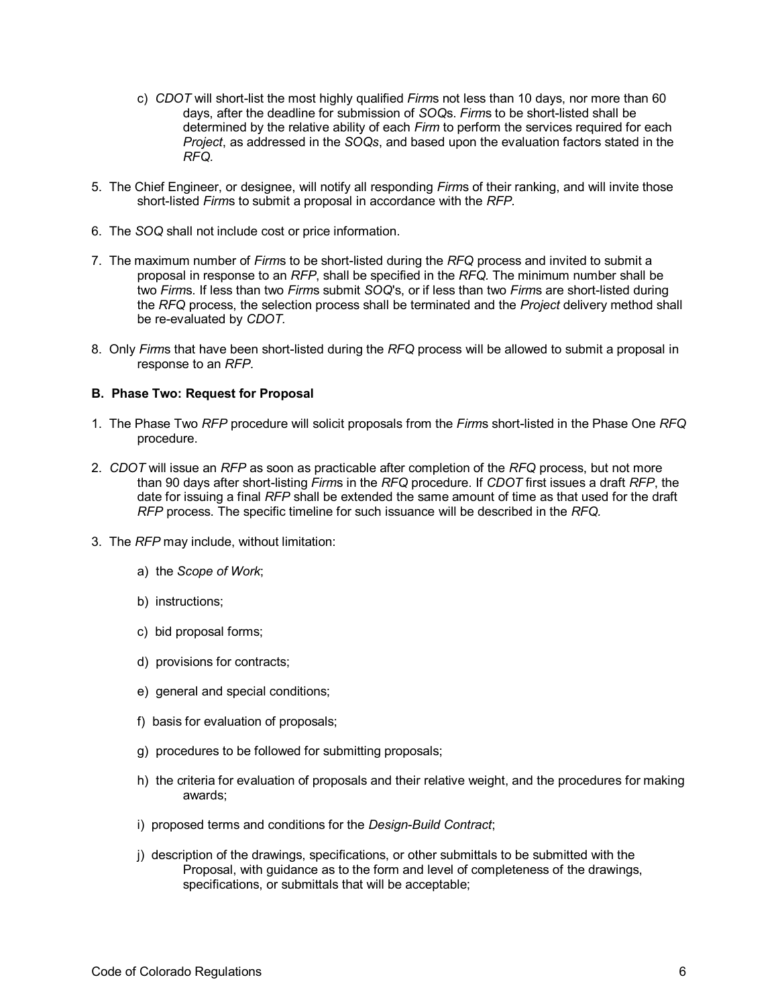- c) *CDOT* will short-list the most highly qualified *Firm*s not less than 10 days, nor more than 60 days, after the deadline for submission of *SOQ*s. *Firm*s to be short-listed shall be determined by the relative ability of each *Firm* to perform the services required for each *Project*, as addressed in the *SOQs*, and based upon the evaluation factors stated in the *RFQ.*
- 5. The Chief Engineer, or designee, will notify all responding *Firm*s of their ranking, and will invite those short-listed *Firm*s to submit a proposal in accordance with the *RFP.*
- 6. The *SOQ* shall not include cost or price information.
- 7. The maximum number of *Firm*s to be short-listed during the *RFQ* process and invited to submit a proposal in response to an *RFP*, shall be specified in the *RFQ.* The minimum number shall be two *Firm*s. If less than two *Firm*s submit *SOQ*'s, or if less than two *Firm*s are short-listed during the *RFQ* process, the selection process shall be terminated and the *Project* delivery method shall be re-evaluated by *CDOT.*
- 8. Only *Firm*s that have been short-listed during the *RFQ* process will be allowed to submit a proposal in response to an *RFP.*

#### **B. Phase Two: Request for Proposal**

- 1. The Phase Two *RFP* procedure will solicit proposals from the *Firm*s short-listed in the Phase One *RFQ* procedure.
- 2. *CDOT* will issue an *RFP* as soon as practicable after completion of the *RFQ* process, but not more than 90 days after short-listing *Firm*s in the *RFQ* procedure. If *CDOT* first issues a draft *RFP*, the date for issuing a final *RFP* shall be extended the same amount of time as that used for the draft *RFP* process. The specific timeline for such issuance will be described in the *RFQ.*
- 3. The *RFP* may include, without limitation:
	- a) the *Scope of Work*;
	- b) instructions;
	- c) bid proposal forms;
	- d) provisions for contracts;
	- e) general and special conditions;
	- f) basis for evaluation of proposals;
	- g) procedures to be followed for submitting proposals;
	- h) the criteria for evaluation of proposals and their relative weight, and the procedures for making awards;
	- i) proposed terms and conditions for the *Design-Build Contract*;
	- j) description of the drawings, specifications, or other submittals to be submitted with the Proposal, with guidance as to the form and level of completeness of the drawings, specifications, or submittals that will be acceptable;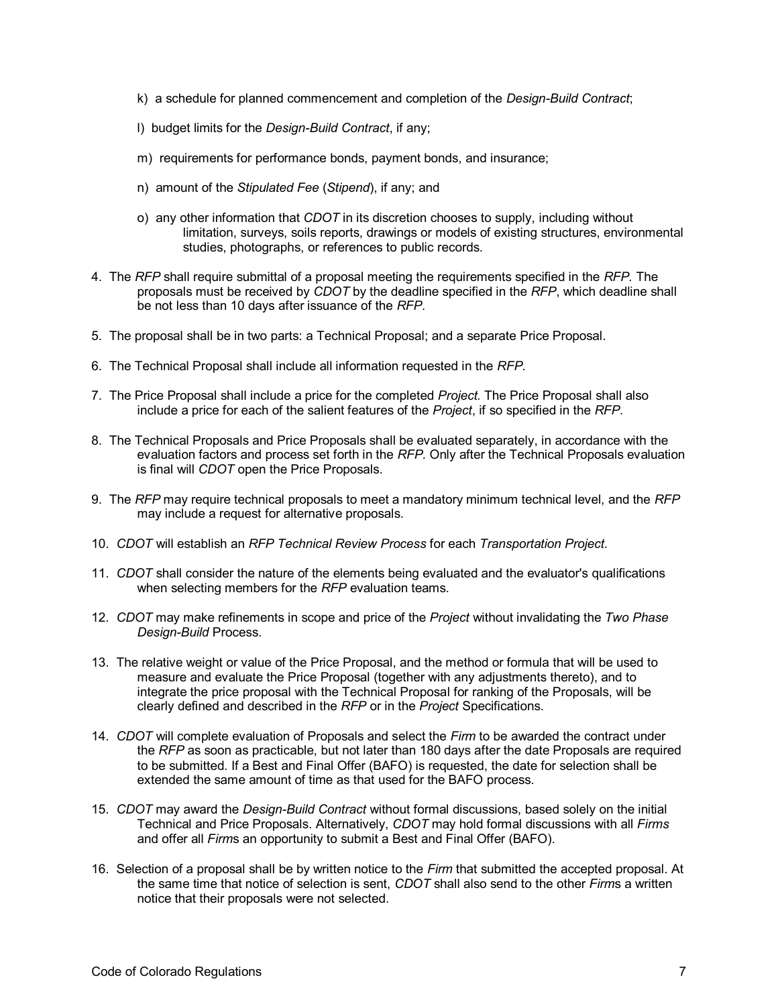- k) a schedule for planned commencement and completion of the *Design-Build Contract*;
- l) budget limits for the *Design-Build Contract*, if any;
- m) requirements for performance bonds, payment bonds, and insurance;
- n) amount of the *Stipulated Fee* (*Stipend*), if any; and
- o) any other information that *CDOT* in its discretion chooses to supply, including without limitation, surveys, soils reports, drawings or models of existing structures, environmental studies, photographs, or references to public records.
- 4. The *RFP* shall require submittal of a proposal meeting the requirements specified in the *RFP.* The proposals must be received by *CDOT* by the deadline specified in the *RFP*, which deadline shall be not less than 10 days after issuance of the *RFP.*
- 5. The proposal shall be in two parts: a Technical Proposal; and a separate Price Proposal.
- 6. The Technical Proposal shall include all information requested in the *RFP.*
- 7. The Price Proposal shall include a price for the completed *Project.* The Price Proposal shall also include a price for each of the salient features of the *Project*, if so specified in the *RFP.*
- 8. The Technical Proposals and Price Proposals shall be evaluated separately, in accordance with the evaluation factors and process set forth in the *RFP.* Only after the Technical Proposals evaluation is final will *CDOT* open the Price Proposals.
- 9. The *RFP* may require technical proposals to meet a mandatory minimum technical level, and the *RFP* may include a request for alternative proposals.
- 10. *CDOT* will establish an *RFP Technical Review Process* for each *Transportation Project.*
- 11. *CDOT* shall consider the nature of the elements being evaluated and the evaluator's qualifications when selecting members for the *RFP* evaluation teams.
- 12. *CDOT* may make refinements in scope and price of the *Project* without invalidating the *Two Phase Design-Build* Process.
- 13. The relative weight or value of the Price Proposal, and the method or formula that will be used to measure and evaluate the Price Proposal (together with any adjustments thereto), and to integrate the price proposal with the Technical Proposal for ranking of the Proposals, will be clearly defined and described in the *RFP* or in the *Project* Specifications.
- 14. *CDOT* will complete evaluation of Proposals and select the *Firm* to be awarded the contract under the *RFP* as soon as practicable, but not later than 180 days after the date Proposals are required to be submitted. If a Best and Final Offer (BAFO) is requested, the date for selection shall be extended the same amount of time as that used for the BAFO process.
- 15. *CDOT* may award the *Design-Build Contract* without formal discussions, based solely on the initial Technical and Price Proposals. Alternatively, *CDOT* may hold formal discussions with all *Firms* and offer all *Firm*s an opportunity to submit a Best and Final Offer (BAFO).
- 16. Selection of a proposal shall be by written notice to the *Firm* that submitted the accepted proposal. At the same time that notice of selection is sent, *CDOT* shall also send to the other *Firm*s a written notice that their proposals were not selected.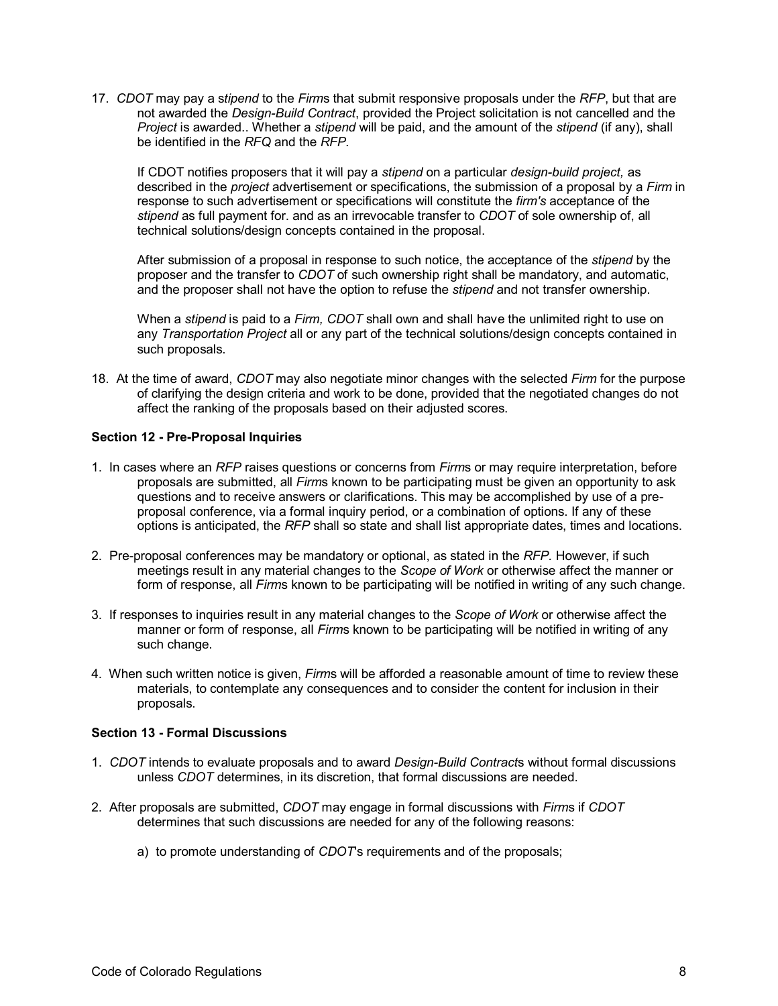17. *CDOT* may pay a s*tipend* to the *Firm*s that submit responsive proposals under the *RFP*, but that are not awarded the *Design-Build Contract*, provided the Project solicitation is not cancelled and the *Project* is awarded.. Whether a *stipend* will be paid, and the amount of the *stipend* (if any), shall be identified in the *RFQ* and the *RFP.*

If CDOT notifies proposers that it will pay a *stipend* on a particular *design-build project,* as described in the *project* advertisement or specifications, the submission of a proposal by a *Firm* in response to such advertisement or specifications will constitute the *firm's* acceptance of the *stipend* as full payment for. and as an irrevocable transfer to *CDOT* of sole ownership of, all technical solutions/design concepts contained in the proposal.

After submission of a proposal in response to such notice, the acceptance of the *stipend* by the proposer and the transfer to *CDOT* of such ownership right shall be mandatory, and automatic, and the proposer shall not have the option to refuse the *stipend* and not transfer ownership.

When a *stipend* is paid to a *Firm, CDOT* shall own and shall have the unlimited right to use on any *Transportation Project* all or any part of the technical solutions/design concepts contained in such proposals.

18. At the time of award, *CDOT* may also negotiate minor changes with the selected *Firm* for the purpose of clarifying the design criteria and work to be done, provided that the negotiated changes do not affect the ranking of the proposals based on their adjusted scores.

## **Section 12 - Pre-Proposal Inquiries**

- 1. In cases where an *RFP* raises questions or concerns from *Firm*s or may require interpretation, before proposals are submitted, all *Firm*s known to be participating must be given an opportunity to ask questions and to receive answers or clarifications. This may be accomplished by use of a preproposal conference, via a formal inquiry period, or a combination of options. If any of these options is anticipated, the *RFP* shall so state and shall list appropriate dates, times and locations.
- 2. Pre-proposal conferences may be mandatory or optional, as stated in the *RFP.* However, if such meetings result in any material changes to the *Scope of Work* or otherwise affect the manner or form of response, all *Firm*s known to be participating will be notified in writing of any such change.
- 3. If responses to inquiries result in any material changes to the *Scope of Work* or otherwise affect the manner or form of response, all *Firm*s known to be participating will be notified in writing of any such change.
- 4. When such written notice is given, *Firm*s will be afforded a reasonable amount of time to review these materials, to contemplate any consequences and to consider the content for inclusion in their proposals.

## **Section 13 - Formal Discussions**

- 1. *CDOT* intends to evaluate proposals and to award *Design-Build Contract*s without formal discussions unless *CDOT* determines, in its discretion, that formal discussions are needed.
- 2. After proposals are submitted, *CDOT* may engage in formal discussions with *Firm*s if *CDOT* determines that such discussions are needed for any of the following reasons:
	- a) to promote understanding of *CDOT*'s requirements and of the proposals;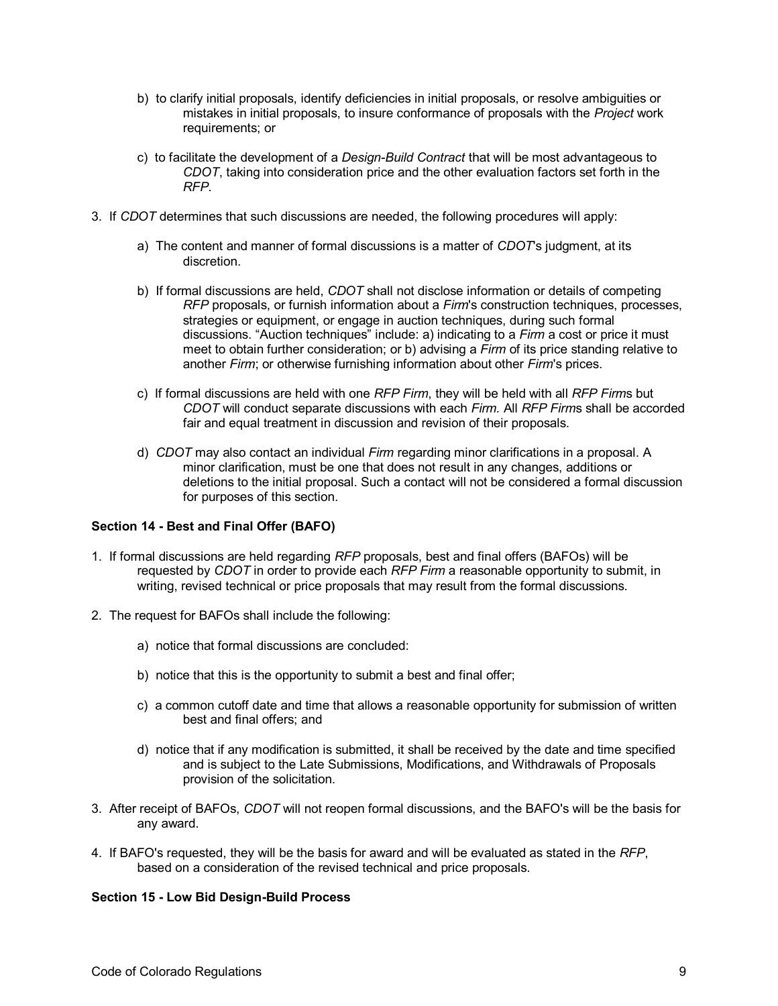- b) to clarify initial proposals, identify deficiencies in initial proposals, or resolve ambiguities or mistakes in initial proposals, to insure conformance of proposals with the *Project* work requirements; or
- c) to facilitate the development of a *Design-Build Contract* that will be most advantageous to *CDOT*, taking into consideration price and the other evaluation factors set forth in the *RFP.*
- 3. If *CDOT* determines that such discussions are needed, the following procedures will apply:
	- a) The content and manner of formal discussions is a matter of *CDOT*'s judgment, at its discretion.
	- b) If formal discussions are held, *CDOT* shall not disclose information or details of competing *RFP* proposals, or furnish information about a *Firm*'s construction techniques, processes, strategies or equipment, or engage in auction techniques, during such formal discussions. "Auction techniques" include: a) indicating to a *Firm* a cost or price it must meet to obtain further consideration; or b) advising a *Firm* of its price standing relative to another *Firm*; or otherwise furnishing information about other *Firm*'s prices.
	- c) If formal discussions are held with one *RFP Firm*, they will be held with all *RFP Firm*s but *CDOT* will conduct separate discussions with each *Firm.* All *RFP Firm*s shall be accorded fair and equal treatment in discussion and revision of their proposals.
	- d) *CDOT* may also contact an individual *Firm* regarding minor clarifications in a proposal. A minor clarification, must be one that does not result in any changes, additions or deletions to the initial proposal. Such a contact will not be considered a formal discussion for purposes of this section.

### **Section 14 - Best and Final Offer (BAFO)**

- 1. If formal discussions are held regarding *RFP* proposals, best and final offers (BAFOs) will be requested by *CDOT* in order to provide each *RFP Firm* a reasonable opportunity to submit, in writing, revised technical or price proposals that may result from the formal discussions.
- 2. The request for BAFOs shall include the following:
	- a) notice that formal discussions are concluded:
	- b) notice that this is the opportunity to submit a best and final offer;
	- c) a common cutoff date and time that allows a reasonable opportunity for submission of written best and final offers; and
	- d) notice that if any modification is submitted, it shall be received by the date and time specified and is subject to the Late Submissions, Modifications, and Withdrawals of Proposals provision of the solicitation.
- 3. After receipt of BAFOs, *CDOT* will not reopen formal discussions, and the BAFO's will be the basis for any award.
- 4. If BAFO's requested, they will be the basis for award and will be evaluated as stated in the *RFP*, based on a consideration of the revised technical and price proposals.

# **Section 15 - Low Bid Design-Build Process**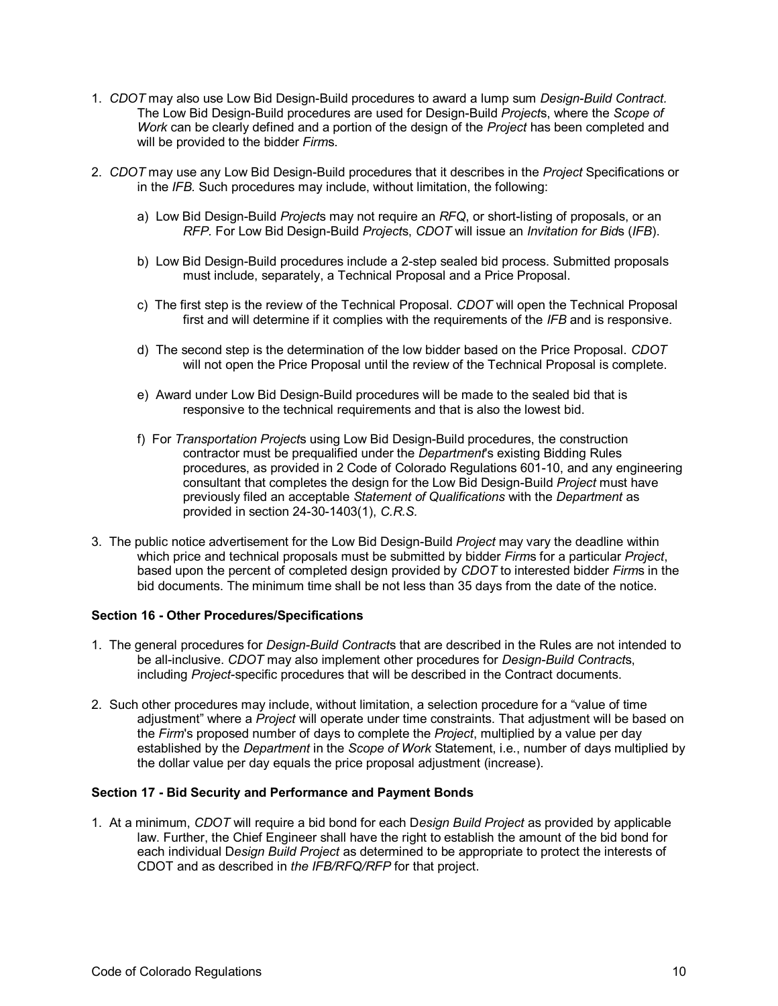- 1. *CDOT* may also use Low Bid Design-Build procedures to award a lump sum *Design-Build Contract.* The Low Bid Design-Build procedures are used for Design-Build *Project*s, where the *Scope of Work* can be clearly defined and a portion of the design of the *Project* has been completed and will be provided to the bidder *Firm*s.
- 2. *CDOT* may use any Low Bid Design-Build procedures that it describes in the *Project* Specifications or in the *IFB.* Such procedures may include, without limitation, the following:
	- a) Low Bid Design-Build *Project*s may not require an *RFQ*, or short-listing of proposals, or an *RFP.* For Low Bid Design-Build *Project*s, *CDOT* will issue an *Invitation for Bid*s (*IFB*).
	- b) Low Bid Design-Build procedures include a 2-step sealed bid process. Submitted proposals must include, separately, a Technical Proposal and a Price Proposal.
	- c) The first step is the review of the Technical Proposal. *CDOT* will open the Technical Proposal first and will determine if it complies with the requirements of the *IFB* and is responsive.
	- d) The second step is the determination of the low bidder based on the Price Proposal. *CDOT* will not open the Price Proposal until the review of the Technical Proposal is complete.
	- e) Award under Low Bid Design-Build procedures will be made to the sealed bid that is responsive to the technical requirements and that is also the lowest bid.
	- f) For *Transportation Project*s using Low Bid Design-Build procedures, the construction contractor must be prequalified under the *Department*'s existing Bidding Rules procedures, as provided in 2 Code of Colorado Regulations 601-10, and any engineering consultant that completes the design for the Low Bid Design-Build *Project* must have previously filed an acceptable *Statement of Qualifications* with the *Department* as provided in section 24-30-1403(1), *C.R.S.*
- 3. The public notice advertisement for the Low Bid Design-Build *Project* may vary the deadline within which price and technical proposals must be submitted by bidder *Firm*s for a particular *Project*, based upon the percent of completed design provided by *CDOT* to interested bidder *Firm*s in the bid documents. The minimum time shall be not less than 35 days from the date of the notice.

### **Section 16 - Other Procedures/Specifications**

- 1. The general procedures for *Design-Build Contract*s that are described in the Rules are not intended to be all-inclusive. *CDOT* may also implement other procedures for *Design-Build Contract*s, including *Project*-specific procedures that will be described in the Contract documents.
- 2. Such other procedures may include, without limitation, a selection procedure for a "value of time adjustment" where a *Project* will operate under time constraints. That adjustment will be based on the *Firm*'s proposed number of days to complete the *Project*, multiplied by a value per day established by the *Department* in the *Scope of Work* Statement, i.e., number of days multiplied by the dollar value per day equals the price proposal adjustment (increase).

#### **Section 17 - Bid Security and Performance and Payment Bonds**

1. At a minimum, *CDOT* will require a bid bond for each D*esign Build Project* as provided by applicable law. Further, the Chief Engineer shall have the right to establish the amount of the bid bond for each individual D*esign Build Project* as determined to be appropriate to protect the interests of CDOT and as described in *the IFB/RFQ/RFP* for that project.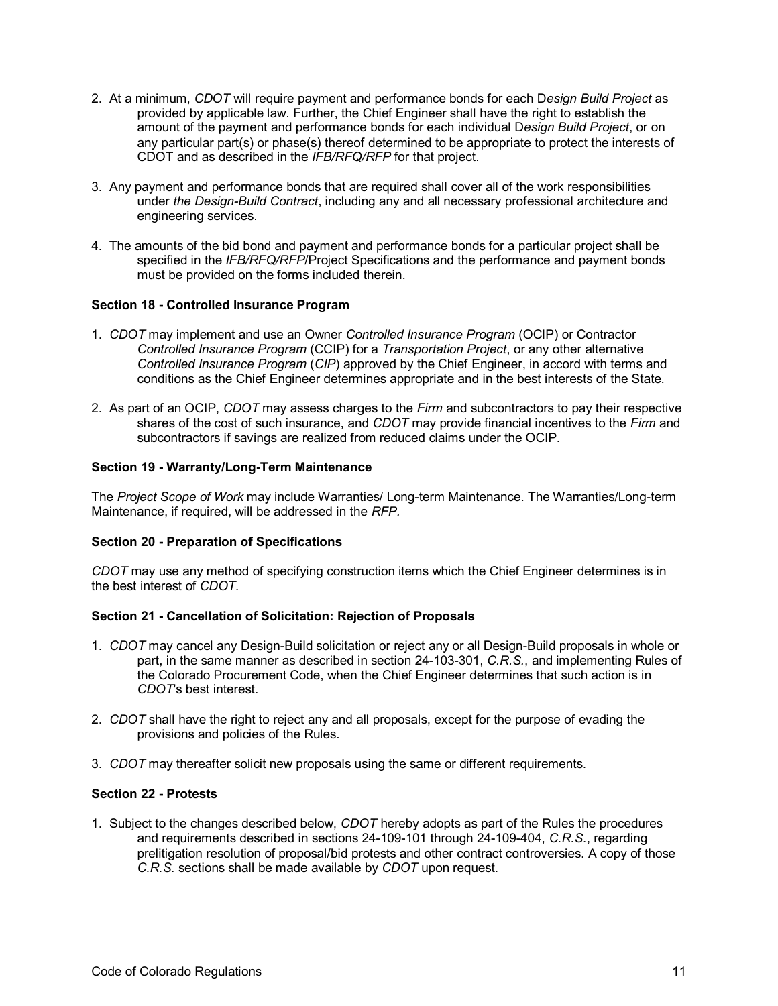- 2. At a minimum, *CDOT* will require payment and performance bonds for each D*esign Build Project* as provided by applicable law. Further, the Chief Engineer shall have the right to establish the amount of the payment and performance bonds for each individual D*esign Build Project*, or on any particular part(s) or phase(s) thereof determined to be appropriate to protect the interests of CDOT and as described in the *IFB/RFQ/RFP* for that project.
- 3. Any payment and performance bonds that are required shall cover all of the work responsibilities under *the Design-Build Contract*, including any and all necessary professional architecture and engineering services.
- 4. The amounts of the bid bond and payment and performance bonds for a particular project shall be specified in the *IFB/RFQ/RFP*/Project Specifications and the performance and payment bonds must be provided on the forms included therein.

## **Section 18 - Controlled Insurance Program**

- 1. *CDOT* may implement and use an Owner *Controlled Insurance Program* (OCIP) or Contractor *Controlled Insurance Program* (CCIP) for a *Transportation Project*, or any other alternative *Controlled Insurance Program* (*CIP*) approved by the Chief Engineer, in accord with terms and conditions as the Chief Engineer determines appropriate and in the best interests of the State.
- 2. As part of an OCIP, *CDOT* may assess charges to the *Firm* and subcontractors to pay their respective shares of the cost of such insurance, and *CDOT* may provide financial incentives to the *Firm* and subcontractors if savings are realized from reduced claims under the OCIP.

### **Section 19 - Warranty/Long-Term Maintenance**

The *Project Scope of Work* may include Warranties/ Long-term Maintenance. The Warranties/Long-term Maintenance, if required, will be addressed in the *RFP.*

### **Section 20 - Preparation of Specifications**

*CDOT* may use any method of specifying construction items which the Chief Engineer determines is in the best interest of *CDOT.*

### **Section 21 - Cancellation of Solicitation: Rejection of Proposals**

- 1. *CDOT* may cancel any Design-Build solicitation or reject any or all Design-Build proposals in whole or part, in the same manner as described in section 24-103-301, *C.R.S.*, and implementing Rules of the Colorado Procurement Code, when the Chief Engineer determines that such action is in *CDOT*'s best interest.
- 2. *CDOT* shall have the right to reject any and all proposals, except for the purpose of evading the provisions and policies of the Rules.
- 3. *CDOT* may thereafter solicit new proposals using the same or different requirements.

### **Section 22 - Protests**

1. Subject to the changes described below, *CDOT* hereby adopts as part of the Rules the procedures and requirements described in sections 24-109-101 through 24-109-404, *C.R.S.*, regarding prelitigation resolution of proposal/bid protests and other contract controversies. A copy of those *C.R.S.* sections shall be made available by *CDOT* upon request.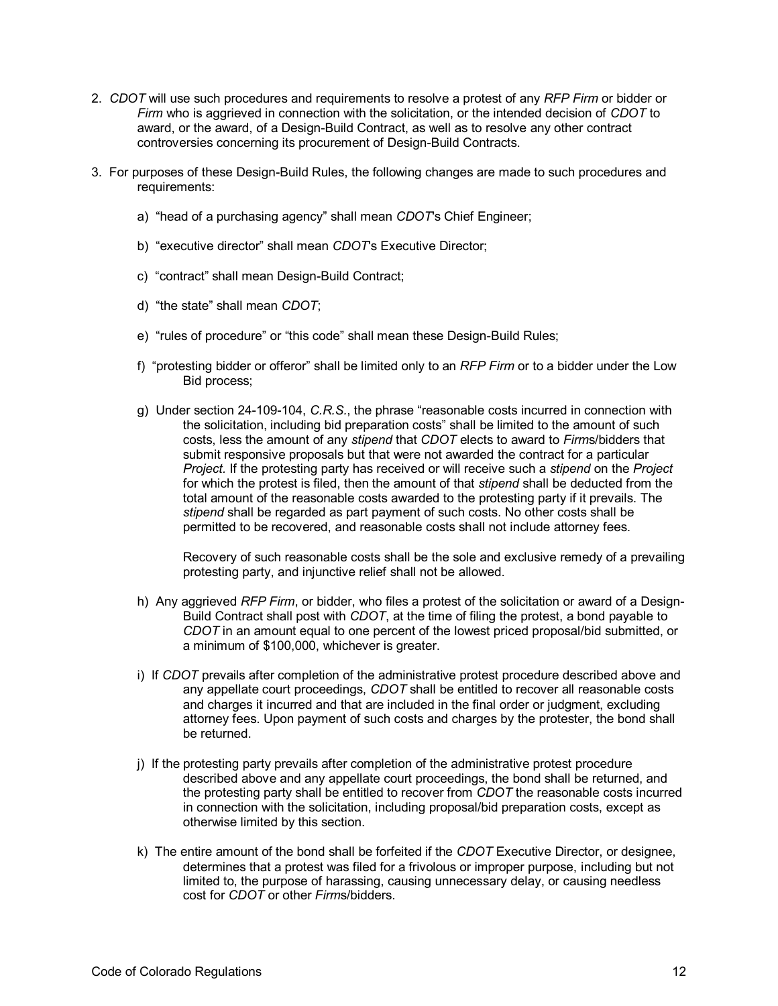- 2. *CDOT* will use such procedures and requirements to resolve a protest of any *RFP Firm* or bidder or *Firm* who is aggrieved in connection with the solicitation, or the intended decision of *CDOT* to award, or the award, of a Design-Build Contract, as well as to resolve any other contract controversies concerning its procurement of Design-Build Contracts.
- 3. For purposes of these Design-Build Rules, the following changes are made to such procedures and requirements:
	- a) "head of a purchasing agency" shall mean *CDOT*'s Chief Engineer;
	- b) "executive director" shall mean *CDOT*'s Executive Director;
	- c) "contract" shall mean Design-Build Contract;
	- d) "the state" shall mean *CDOT*;
	- e) "rules of procedure" or "this code" shall mean these Design-Build Rules;
	- f) "protesting bidder or offeror" shall be limited only to an *RFP Firm* or to a bidder under the Low Bid process;
	- g) Under section 24-109-104, *C.R.S.*, the phrase "reasonable costs incurred in connection with the solicitation, including bid preparation costs" shall be limited to the amount of such costs, less the amount of any *stipend* that *CDOT* elects to award to *Firm*s/bidders that submit responsive proposals but that were not awarded the contract for a particular *Project.* If the protesting party has received or will receive such a *stipend* on the *Project* for which the protest is filed, then the amount of that *stipend* shall be deducted from the total amount of the reasonable costs awarded to the protesting party if it prevails. The *stipend* shall be regarded as part payment of such costs. No other costs shall be permitted to be recovered, and reasonable costs shall not include attorney fees.

Recovery of such reasonable costs shall be the sole and exclusive remedy of a prevailing protesting party, and injunctive relief shall not be allowed.

- h) Any aggrieved *RFP Firm*, or bidder, who files a protest of the solicitation or award of a Design-Build Contract shall post with *CDOT*, at the time of filing the protest, a bond payable to *CDOT* in an amount equal to one percent of the lowest priced proposal/bid submitted, or a minimum of \$100,000, whichever is greater.
- i) If *CDOT* prevails after completion of the administrative protest procedure described above and any appellate court proceedings, *CDOT* shall be entitled to recover all reasonable costs and charges it incurred and that are included in the final order or judgment, excluding attorney fees. Upon payment of such costs and charges by the protester, the bond shall be returned.
- j) If the protesting party prevails after completion of the administrative protest procedure described above and any appellate court proceedings, the bond shall be returned, and the protesting party shall be entitled to recover from *CDOT* the reasonable costs incurred in connection with the solicitation, including proposal/bid preparation costs, except as otherwise limited by this section.
- k) The entire amount of the bond shall be forfeited if the *CDOT* Executive Director, or designee, determines that a protest was filed for a frivolous or improper purpose, including but not limited to, the purpose of harassing, causing unnecessary delay, or causing needless cost for *CDOT* or other *Firm*s/bidders.